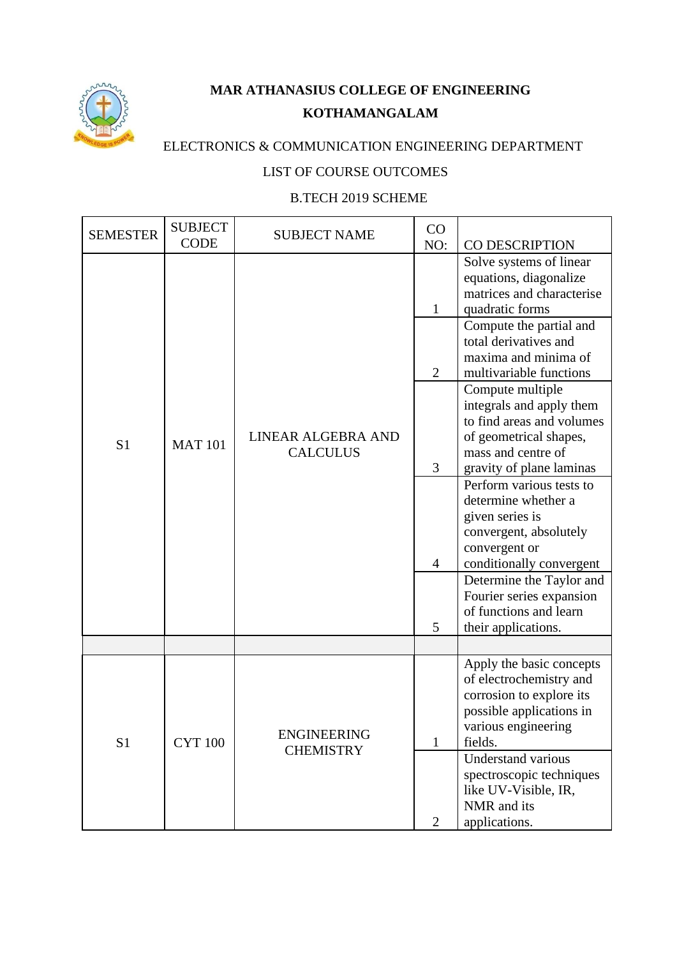

## **MAR ATHANASIUS COLLEGE OF ENGINEERING KOTHAMANGALAM**

## ELECTRONICS & COMMUNICATION ENGINEERING DEPARTMENT

## LIST OF COURSE OUTCOMES

## B.TECH 2019 SCHEME

| <b>SEMESTER</b> | <b>SUBJECT</b><br><b>CODE</b> | <b>SUBJECT NAME</b>                    | CO<br>NO:                                                  | CO DESCRIPTION                                                                                                                                                                                                                                                                                                                                                                                                                                                                                                                                                                                                          |
|-----------------|-------------------------------|----------------------------------------|------------------------------------------------------------|-------------------------------------------------------------------------------------------------------------------------------------------------------------------------------------------------------------------------------------------------------------------------------------------------------------------------------------------------------------------------------------------------------------------------------------------------------------------------------------------------------------------------------------------------------------------------------------------------------------------------|
| S <sub>1</sub>  | <b>MAT 101</b>                | LINEAR ALGEBRA AND<br><b>CALCULUS</b>  | $\mathbf{1}$<br>$\overline{2}$<br>3<br>$\overline{4}$<br>5 | Solve systems of linear<br>equations, diagonalize<br>matrices and characterise<br>quadratic forms<br>Compute the partial and<br>total derivatives and<br>maxima and minima of<br>multivariable functions<br>Compute multiple<br>integrals and apply them<br>to find areas and volumes<br>of geometrical shapes,<br>mass and centre of<br>gravity of plane laminas<br>Perform various tests to<br>determine whether a<br>given series is<br>convergent, absolutely<br>convergent or<br>conditionally convergent<br>Determine the Taylor and<br>Fourier series expansion<br>of functions and learn<br>their applications. |
|                 |                               |                                        |                                                            |                                                                                                                                                                                                                                                                                                                                                                                                                                                                                                                                                                                                                         |
| S <sub>1</sub>  | <b>CYT 100</b>                | <b>ENGINEERING</b><br><b>CHEMISTRY</b> | $\mathbf{1}$<br>$\overline{2}$                             | Apply the basic concepts<br>of electrochemistry and<br>corrosion to explore its<br>possible applications in<br>various engineering<br>fields.<br><b>Understand various</b><br>spectroscopic techniques<br>like UV-Visible, IR,<br>NMR and its<br>applications.                                                                                                                                                                                                                                                                                                                                                          |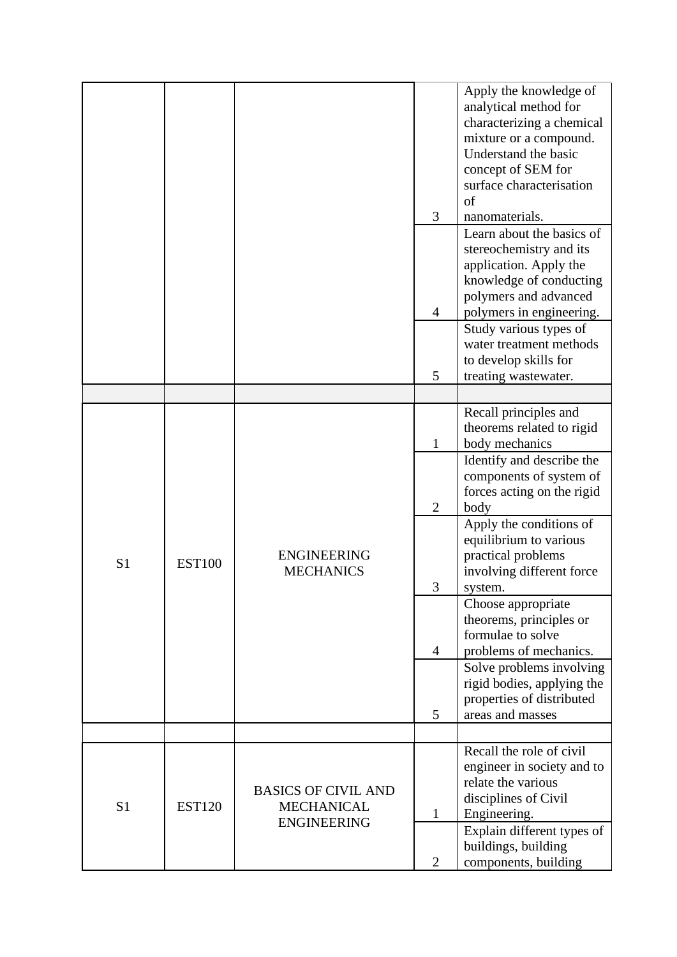|                |               |                                                                       | 3              | Apply the knowledge of<br>analytical method for<br>characterizing a chemical<br>mixture or a compound.<br>Understand the basic<br>concept of SEM for<br>surface characterisation<br>of<br>nanomaterials.<br>Learn about the basics of |
|----------------|---------------|-----------------------------------------------------------------------|----------------|---------------------------------------------------------------------------------------------------------------------------------------------------------------------------------------------------------------------------------------|
|                |               |                                                                       | 4              | stereochemistry and its<br>application. Apply the<br>knowledge of conducting<br>polymers and advanced<br>polymers in engineering.                                                                                                     |
|                |               |                                                                       | 5              | Study various types of<br>water treatment methods<br>to develop skills for<br>treating wastewater.                                                                                                                                    |
|                |               |                                                                       |                | Recall principles and                                                                                                                                                                                                                 |
|                | <b>EST100</b> | <b>ENGINEERING</b><br><b>MECHANICS</b>                                | 1              | theorems related to rigid<br>body mechanics                                                                                                                                                                                           |
|                |               |                                                                       | $\overline{2}$ | Identify and describe the<br>components of system of<br>forces acting on the rigid<br>body                                                                                                                                            |
| S <sub>1</sub> |               |                                                                       | 3              | Apply the conditions of<br>equilibrium to various<br>practical problems<br>involving different force<br>system.                                                                                                                       |
|                |               |                                                                       |                | Choose appropriate<br>theorems, principles or<br>formulae to solve                                                                                                                                                                    |
|                |               |                                                                       | $\overline{4}$ | problems of mechanics.<br>Solve problems involving                                                                                                                                                                                    |
|                |               |                                                                       | 5              | rigid bodies, applying the<br>properties of distributed<br>areas and masses                                                                                                                                                           |
|                |               |                                                                       |                | Recall the role of civil                                                                                                                                                                                                              |
| S <sub>1</sub> | <b>EST120</b> | <b>BASICS OF CIVIL AND</b><br><b>MECHANICAL</b><br><b>ENGINEERING</b> | $\mathbf{1}$   | engineer in society and to<br>relate the various<br>disciplines of Civil<br>Engineering.                                                                                                                                              |
|                |               |                                                                       | $\overline{2}$ | Explain different types of<br>buildings, building<br>components, building                                                                                                                                                             |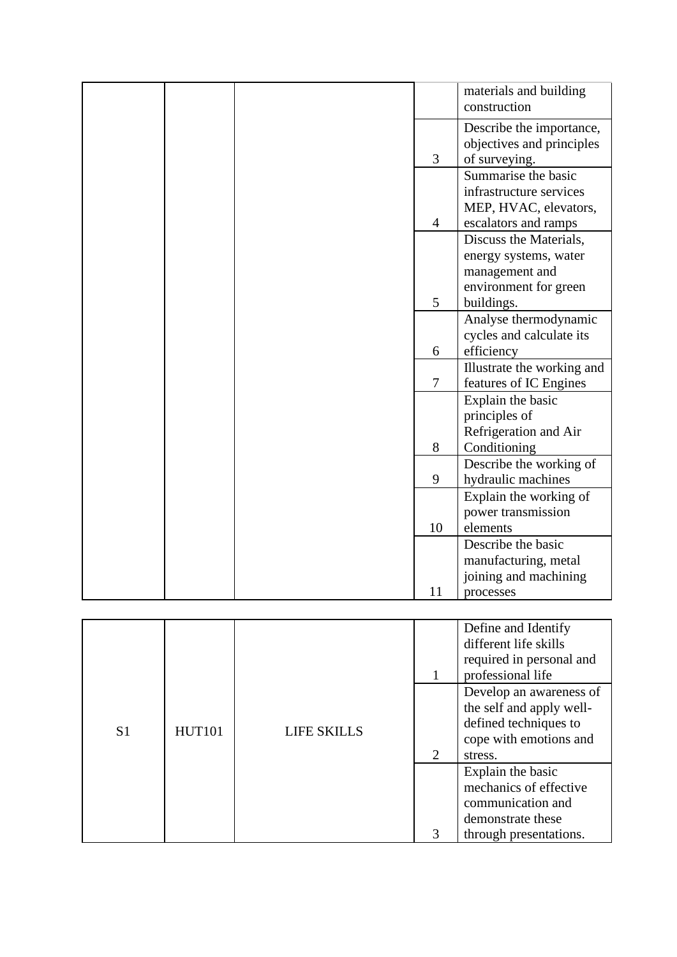|  |                | materials and building                                |
|--|----------------|-------------------------------------------------------|
|  |                | construction                                          |
|  |                |                                                       |
|  |                | Describe the importance,<br>objectives and principles |
|  | 3              | of surveying.                                         |
|  |                | Summarise the basic                                   |
|  |                | infrastructure services                               |
|  |                | MEP, HVAC, elevators,                                 |
|  | $\overline{4}$ | escalators and ramps                                  |
|  |                | Discuss the Materials,                                |
|  |                | energy systems, water                                 |
|  |                | management and                                        |
|  |                | environment for green                                 |
|  | 5              | buildings.                                            |
|  |                | Analyse thermodynamic                                 |
|  |                | cycles and calculate its                              |
|  | 6              | efficiency                                            |
|  |                | Illustrate the working and                            |
|  | $\tau$         | features of IC Engines                                |
|  |                | Explain the basic                                     |
|  |                | principles of                                         |
|  |                | Refrigeration and Air                                 |
|  | 8              | Conditioning                                          |
|  |                | Describe the working of                               |
|  | 9              | hydraulic machines                                    |
|  |                | Explain the working of                                |
|  |                | power transmission                                    |
|  | 10             | elements                                              |
|  |                | Describe the basic                                    |
|  |                | manufacturing, metal                                  |
|  |                | joining and machining                                 |
|  | 11             | processes                                             |

|                |               |                    |                             | Define and Identify<br>different life skills<br>required in personal and<br>professional life                     |
|----------------|---------------|--------------------|-----------------------------|-------------------------------------------------------------------------------------------------------------------|
| S <sub>1</sub> | <b>HUT101</b> | <b>LIFE SKILLS</b> | $\mathcal{D}_{\mathcal{L}}$ | Develop an awareness of<br>the self and apply well-<br>defined techniques to<br>cope with emotions and<br>stress. |
|                |               |                    | 3                           | Explain the basic<br>mechanics of effective<br>communication and<br>demonstrate these<br>through presentations.   |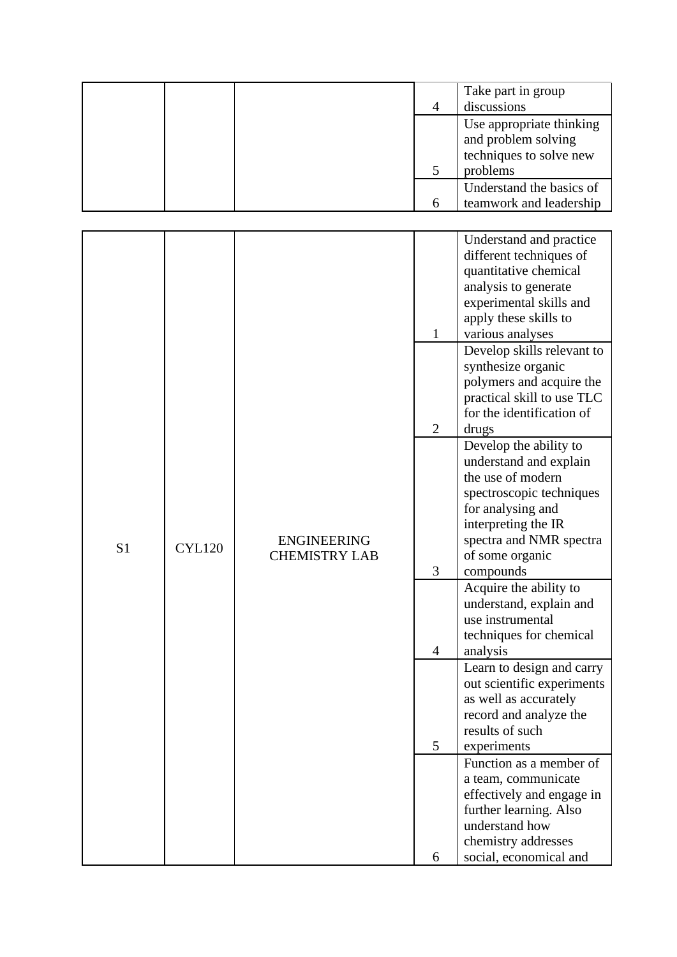|  | 4 | Take part in group<br>discussions                                                      |
|--|---|----------------------------------------------------------------------------------------|
|  |   | Use appropriate thinking<br>and problem solving<br>techniques to solve new<br>problems |
|  |   | Understand the basics of<br>teamwork and leadership                                    |

|                |               |                      |                | Understand and practice                     |
|----------------|---------------|----------------------|----------------|---------------------------------------------|
|                |               |                      |                | different techniques of                     |
|                |               |                      |                | quantitative chemical                       |
|                |               |                      |                | analysis to generate                        |
|                |               |                      |                | experimental skills and                     |
|                |               |                      |                | apply these skills to                       |
|                |               |                      | $\mathbf{1}$   | various analyses                            |
|                |               |                      |                | Develop skills relevant to                  |
|                |               |                      |                | synthesize organic                          |
|                |               |                      |                | polymers and acquire the                    |
|                |               |                      |                | practical skill to use TLC                  |
|                |               |                      |                | for the identification of                   |
|                |               |                      | $\overline{2}$ | drugs                                       |
|                |               |                      |                | Develop the ability to                      |
|                |               |                      |                | understand and explain                      |
|                |               |                      |                | the use of modern                           |
|                |               |                      |                | spectroscopic techniques                    |
|                |               |                      |                | for analysing and                           |
|                |               |                      |                | interpreting the IR                         |
| S <sub>1</sub> | <b>CYL120</b> | <b>ENGINEERING</b>   |                | spectra and NMR spectra                     |
|                |               | <b>CHEMISTRY LAB</b> |                | of some organic                             |
|                |               |                      | 3              | compounds                                   |
|                |               |                      |                | Acquire the ability to                      |
|                |               |                      |                | understand, explain and<br>use instrumental |
|                |               |                      |                | techniques for chemical                     |
|                |               |                      | $\overline{4}$ | analysis                                    |
|                |               |                      |                | Learn to design and carry                   |
|                |               |                      |                | out scientific experiments                  |
|                |               |                      |                | as well as accurately                       |
|                |               |                      |                | record and analyze the                      |
|                |               |                      |                | results of such                             |
|                |               |                      | 5              | experiments                                 |
|                |               |                      |                | Function as a member of                     |
|                |               |                      |                | a team, communicate                         |
|                |               |                      |                | effectively and engage in                   |
|                |               |                      |                | further learning. Also                      |
|                |               |                      |                | understand how                              |
|                |               |                      |                | chemistry addresses                         |
|                |               |                      | 6              | social, economical and                      |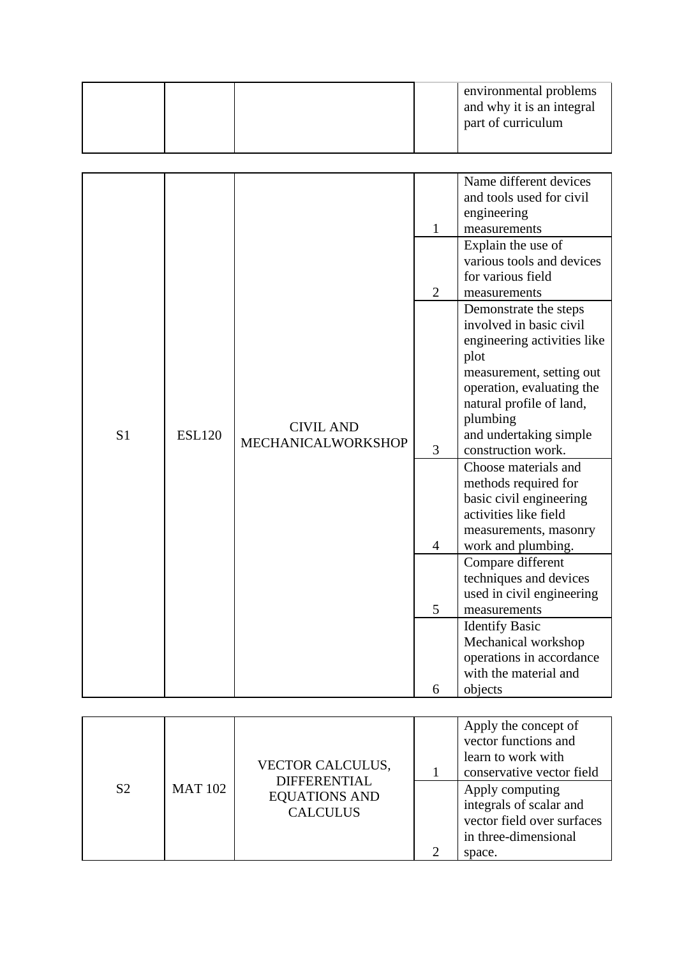|  | environmental problems<br>and why it is an integral<br>part of curriculum |
|--|---------------------------------------------------------------------------|
|--|---------------------------------------------------------------------------|

|                |               |                    |                | Name different devices      |
|----------------|---------------|--------------------|----------------|-----------------------------|
|                |               |                    |                | and tools used for civil    |
|                |               |                    |                | engineering                 |
|                |               |                    | $\mathbf{1}$   | measurements                |
|                |               |                    |                | Explain the use of          |
|                |               |                    |                | various tools and devices   |
|                |               |                    |                | for various field           |
|                |               |                    | $\overline{2}$ | measurements                |
|                |               |                    |                | Demonstrate the steps       |
|                |               |                    |                | involved in basic civil     |
|                |               |                    |                | engineering activities like |
|                |               |                    |                | plot                        |
|                |               |                    |                | measurement, setting out    |
|                |               |                    |                | operation, evaluating the   |
|                |               |                    |                | natural profile of land,    |
|                |               |                    |                | plumbing                    |
| S <sub>1</sub> | <b>ESL120</b> | <b>CIVIL AND</b>   |                | and undertaking simple      |
|                |               | MECHANICALWORKSHOP | 3              | construction work.          |
|                |               |                    |                | Choose materials and        |
|                |               |                    |                | methods required for        |
|                |               |                    |                | basic civil engineering     |
|                |               |                    |                | activities like field       |
|                |               |                    |                | measurements, masonry       |
|                |               |                    | 4              | work and plumbing.          |
|                |               |                    |                | Compare different           |
|                |               |                    |                | techniques and devices      |
|                |               |                    |                | used in civil engineering   |
|                |               |                    | 5              | measurements                |
|                |               |                    |                | <b>Identify Basic</b>       |
|                |               |                    |                | Mechanical workshop         |
|                |               |                    |                | operations in accordance    |
|                |               |                    |                | with the material and       |
|                |               |                    | 6              | objects                     |

|                |                | <b>VECTOR CALCULUS,</b>                                        | Apply the concept of<br>vector functions and<br>learn to work with<br>conservative vector field            |
|----------------|----------------|----------------------------------------------------------------|------------------------------------------------------------------------------------------------------------|
| S <sub>2</sub> | <b>MAT 102</b> | <b>DIFFERENTIAL</b><br><b>EQUATIONS AND</b><br><b>CALCULUS</b> | Apply computing<br>integrals of scalar and<br>vector field over surfaces<br>in three-dimensional<br>space. |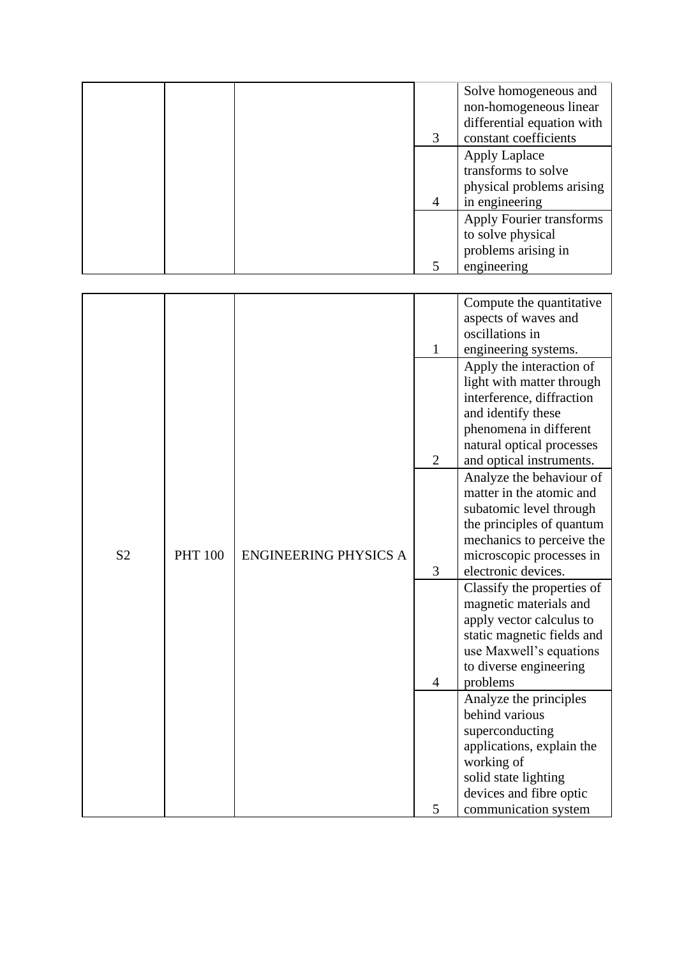|  | 3 | Solve homogeneous and<br>non-homogeneous linear<br>differential equation with<br>constant coefficients |
|--|---|--------------------------------------------------------------------------------------------------------|
|  | 4 | <b>Apply Laplace</b><br>transforms to solve<br>physical problems arising<br>in engineering             |
|  |   | Apply Fourier transforms<br>to solve physical<br>problems arising in<br>engineering                    |

|                |                |                              |                | Compute the quantitative                              |
|----------------|----------------|------------------------------|----------------|-------------------------------------------------------|
|                |                |                              |                | aspects of waves and                                  |
|                |                |                              |                | oscillations in                                       |
|                |                |                              | $\mathbf{1}$   | engineering systems.                                  |
|                |                |                              |                | Apply the interaction of                              |
|                |                |                              |                | light with matter through                             |
|                |                |                              |                | interference, diffraction                             |
|                |                |                              |                | and identify these                                    |
|                |                |                              |                | phenomena in different                                |
|                |                |                              |                | natural optical processes                             |
|                |                |                              | $\mathbf{2}$   | and optical instruments.                              |
|                |                |                              |                | Analyze the behaviour of                              |
|                |                |                              |                | matter in the atomic and                              |
|                |                |                              |                | subatomic level through                               |
|                |                |                              |                | the principles of quantum                             |
| S <sub>2</sub> | <b>PHT 100</b> | <b>ENGINEERING PHYSICS A</b> |                | mechanics to perceive the<br>microscopic processes in |
|                |                |                              | 3              | electronic devices.                                   |
|                |                |                              |                | Classify the properties of                            |
|                |                |                              |                | magnetic materials and                                |
|                |                |                              |                | apply vector calculus to                              |
|                |                |                              |                | static magnetic fields and                            |
|                |                |                              |                | use Maxwell's equations                               |
|                |                |                              |                | to diverse engineering                                |
|                |                |                              | $\overline{4}$ | problems                                              |
|                |                |                              |                | Analyze the principles                                |
|                |                |                              |                | behind various                                        |
|                |                |                              |                | superconducting                                       |
|                |                |                              |                | applications, explain the                             |
|                |                |                              |                | working of                                            |
|                |                |                              |                | solid state lighting                                  |
|                |                |                              |                | devices and fibre optic                               |
|                |                |                              | 5              | communication system                                  |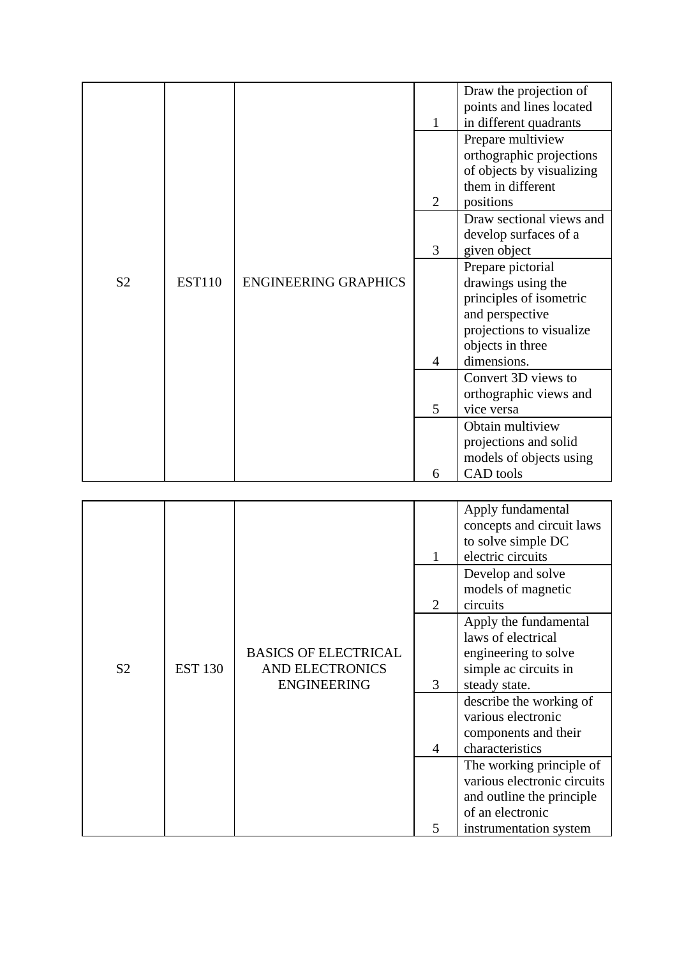|                |               |                             |                | Draw the projection of    |
|----------------|---------------|-----------------------------|----------------|---------------------------|
|                |               |                             |                | points and lines located  |
|                |               |                             | 1              | in different quadrants    |
|                |               |                             |                | Prepare multiview         |
|                |               |                             |                | orthographic projections  |
|                |               |                             |                | of objects by visualizing |
|                |               |                             |                | them in different         |
|                |               |                             | $\overline{2}$ | positions                 |
|                |               |                             |                | Draw sectional views and  |
|                |               |                             |                | develop surfaces of a     |
|                |               |                             | 3              | given object              |
|                |               |                             |                | Prepare pictorial         |
| S <sub>2</sub> | <b>EST110</b> | <b>ENGINEERING GRAPHICS</b> |                | drawings using the        |
|                |               |                             |                | principles of isometric   |
|                |               |                             |                | and perspective           |
|                |               |                             |                | projections to visualize  |
|                |               |                             |                | objects in three          |
|                |               |                             | 4              | dimensions.               |
|                |               |                             |                | Convert 3D views to       |
|                |               |                             |                | orthographic views and    |
|                |               |                             | 5              | vice versa                |
|                |               |                             |                | Obtain multiview          |
|                |               |                             |                | projections and solid     |
|                |               |                             |                | models of objects using   |
|                |               |                             | 6              | CAD tools                 |

|                |                |                                                                             | 1 | Apply fundamental<br>concepts and circuit laws<br>to solve simple DC<br>electric circuits                                          |
|----------------|----------------|-----------------------------------------------------------------------------|---|------------------------------------------------------------------------------------------------------------------------------------|
|                |                |                                                                             | 2 | Develop and solve<br>models of magnetic<br>circuits                                                                                |
| S <sub>2</sub> | <b>EST 130</b> | <b>BASICS OF ELECTRICAL</b><br><b>AND ELECTRONICS</b><br><b>ENGINEERING</b> | 3 | Apply the fundamental<br>laws of electrical<br>engineering to solve<br>simple ac circuits in<br>steady state.                      |
|                |                |                                                                             | 4 | describe the working of<br>various electronic<br>components and their<br>characteristics                                           |
|                |                |                                                                             | 5 | The working principle of<br>various electronic circuits<br>and outline the principle<br>of an electronic<br>instrumentation system |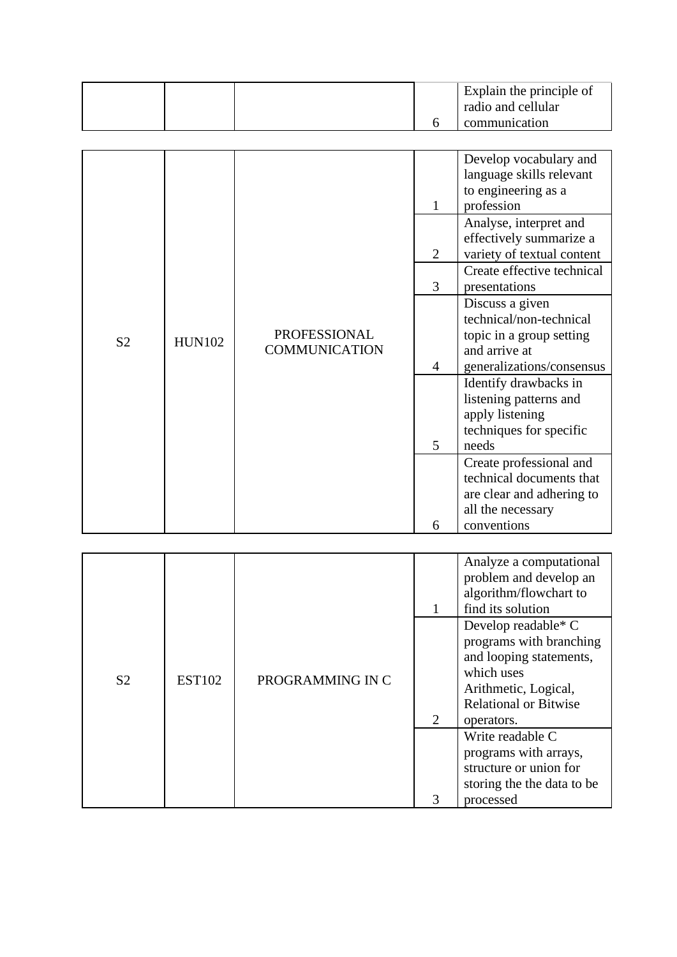|  | Explain the principle of<br>radio and cellular |
|--|------------------------------------------------|
|  | communication                                  |

|                |               |                                             | 1              | Develop vocabulary and<br>language skills relevant<br>to engineering as a<br>profession                |
|----------------|---------------|---------------------------------------------|----------------|--------------------------------------------------------------------------------------------------------|
|                |               |                                             | $\overline{2}$ | Analyse, interpret and<br>effectively summarize a<br>variety of textual content                        |
|                |               |                                             | 3              | Create effective technical<br>presentations                                                            |
| S <sub>2</sub> | <b>HUN102</b> | <b>PROFESSIONAL</b><br><b>COMMUNICATION</b> |                | Discuss a given<br>technical/non-technical<br>topic in a group setting<br>and arrive at                |
|                |               |                                             | 4              | generalizations/consensus                                                                              |
|                |               |                                             | 5              | Identify drawbacks in<br>listening patterns and<br>apply listening<br>techniques for specific<br>needs |
|                |               |                                             |                | Create professional and<br>technical documents that<br>are clear and adhering to                       |
|                |               |                                             | 6              | all the necessary<br>conventions                                                                       |

|                |               |                  |   | Analyze a computational<br>problem and develop an<br>algorithm/flowchart to<br>find its solution                                                                |
|----------------|---------------|------------------|---|-----------------------------------------------------------------------------------------------------------------------------------------------------------------|
| S <sub>2</sub> | <b>EST102</b> | PROGRAMMING IN C | 2 | Develop readable* $C$<br>programs with branching<br>and looping statements,<br>which uses<br>Arithmetic, Logical,<br><b>Relational or Bitwise</b><br>operators. |
|                |               |                  |   | Write readable C<br>programs with arrays,<br>structure or union for<br>storing the the data to be                                                               |
|                |               |                  | 3 | processed                                                                                                                                                       |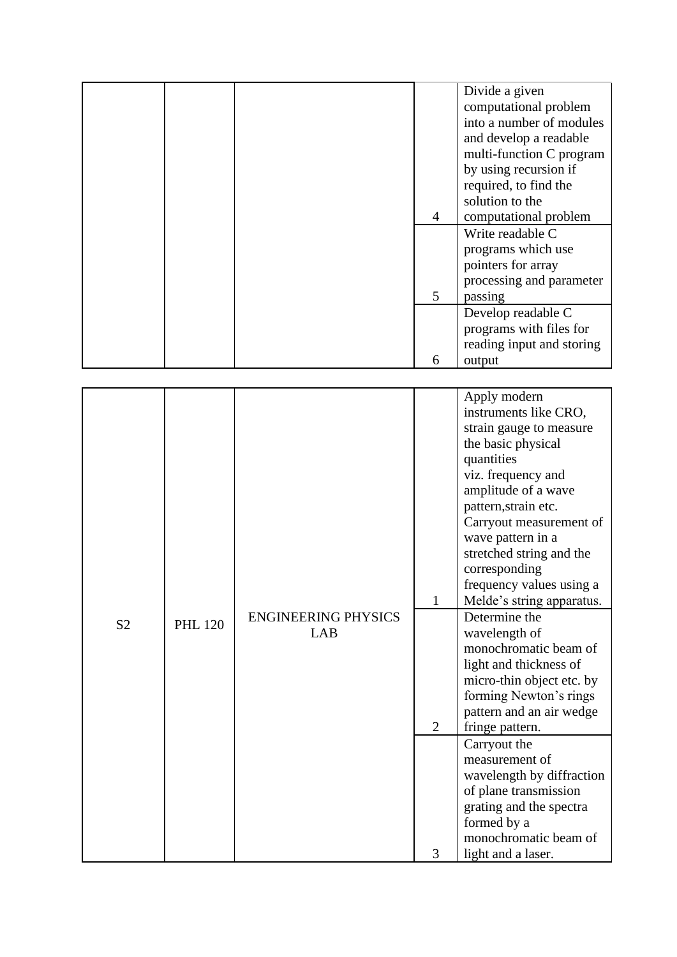|  |   | Divide a given            |
|--|---|---------------------------|
|  |   | computational problem     |
|  |   | into a number of modules  |
|  |   | and develop a readable    |
|  |   | multi-function C program  |
|  |   | by using recursion if     |
|  |   | required, to find the     |
|  |   | solution to the           |
|  | 4 | computational problem     |
|  |   | Write readable C          |
|  |   | programs which use        |
|  |   | pointers for array        |
|  |   | processing and parameter  |
|  | 5 | passing                   |
|  |   | Develop readable C        |
|  |   | programs with files for   |
|  |   | reading input and storing |
|  | 6 | output                    |

|                |                |                            |                | Apply modern<br>instruments like CRO,<br>strain gauge to measure<br>the basic physical<br>quantities<br>viz. frequency and                                           |
|----------------|----------------|----------------------------|----------------|----------------------------------------------------------------------------------------------------------------------------------------------------------------------|
|                |                |                            |                | amplitude of a wave<br>pattern, strain etc.<br>Carryout measurement of<br>wave pattern in a<br>stretched string and the<br>corresponding<br>frequency values using a |
|                |                |                            | $\mathbf{1}$   | Melde's string apparatus.                                                                                                                                            |
| S <sub>2</sub> | <b>PHL 120</b> | <b>ENGINEERING PHYSICS</b> |                | Determine the                                                                                                                                                        |
|                |                | <b>LAB</b>                 |                | wavelength of<br>monochromatic beam of                                                                                                                               |
|                |                |                            |                | light and thickness of                                                                                                                                               |
|                |                |                            |                | micro-thin object etc. by                                                                                                                                            |
|                |                |                            |                | forming Newton's rings                                                                                                                                               |
|                |                |                            |                | pattern and an air wedge                                                                                                                                             |
|                |                |                            | $\overline{2}$ | fringe pattern.                                                                                                                                                      |
|                |                |                            |                | Carryout the                                                                                                                                                         |
|                |                |                            |                | measurement of                                                                                                                                                       |
|                |                |                            |                | wavelength by diffraction<br>of plane transmission                                                                                                                   |
|                |                |                            |                | grating and the spectra                                                                                                                                              |
|                |                |                            |                | formed by a                                                                                                                                                          |
|                |                |                            |                | monochromatic beam of                                                                                                                                                |
|                |                |                            | 3              | light and a laser.                                                                                                                                                   |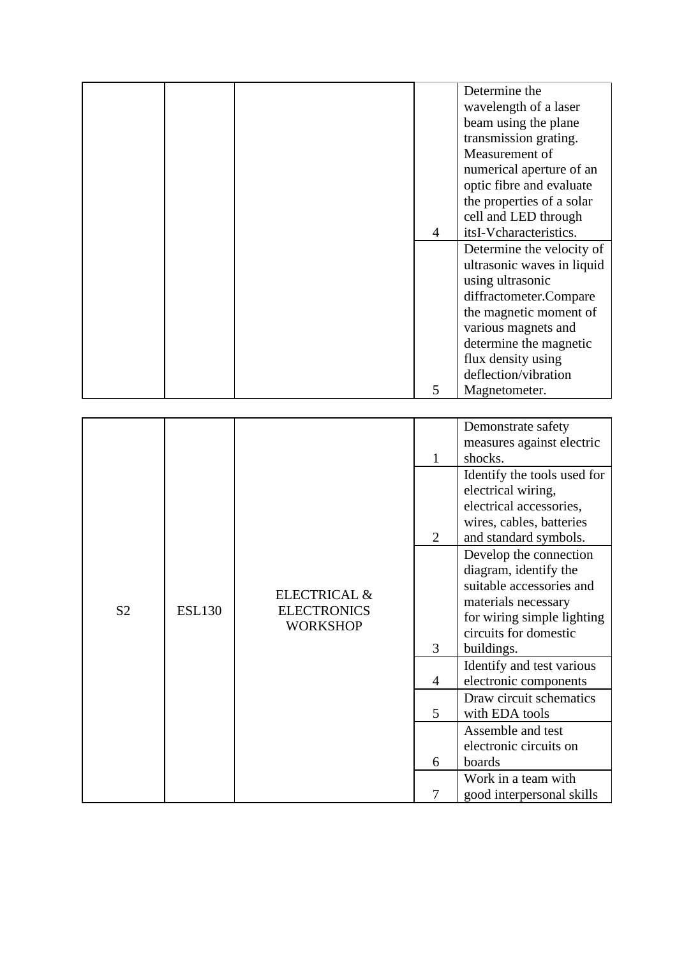| Determine the                                                                |  |
|------------------------------------------------------------------------------|--|
| wavelength of a laser                                                        |  |
| beam using the plane                                                         |  |
| transmission grating.                                                        |  |
| Measurement of                                                               |  |
|                                                                              |  |
| numerical aperture of an                                                     |  |
| optic fibre and evaluate                                                     |  |
| the properties of a solar                                                    |  |
| cell and LED through                                                         |  |
| itsI-Vcharacteristics.<br>$\overline{4}$                                     |  |
| Determine the velocity of                                                    |  |
| ultrasonic waves in liquid                                                   |  |
| using ultrasonic                                                             |  |
| diffractometer.Compare                                                       |  |
| the magnetic moment of                                                       |  |
| various magnets and                                                          |  |
| determine the magnetic                                                       |  |
| flux density using                                                           |  |
| deflection/vibration                                                         |  |
| 5<br>Magnetometer.                                                           |  |
|                                                                              |  |
| Demonstrate safety                                                           |  |
| measures against electric                                                    |  |
| shocks.<br>1                                                                 |  |
| Identify the tools used for                                                  |  |
| electrical wiring,                                                           |  |
| electrical accessories,                                                      |  |
| wires, cables, batteries                                                     |  |
| $\overline{2}$                                                               |  |
| and standard symbols.                                                        |  |
| Develop the connection                                                       |  |
| diagram, identify the                                                        |  |
| suitable accessories and<br>ELECTRICAL &                                     |  |
| materials necessary<br>S <sub>2</sub><br><b>ESL130</b><br><b>ELECTRONICS</b> |  |
| for wiring simple lighting<br><b>WORKSHOP</b>                                |  |
| circuits for domestic                                                        |  |
| 3<br>buildings.                                                              |  |
| Identify and test various                                                    |  |
| electronic components<br>$\overline{4}$                                      |  |
| Draw circuit schematics                                                      |  |
| 5<br>with EDA tools                                                          |  |
| Assemble and test                                                            |  |
| electronic circuits on                                                       |  |
|                                                                              |  |
|                                                                              |  |
| boards<br>6<br>Work in a team with                                           |  |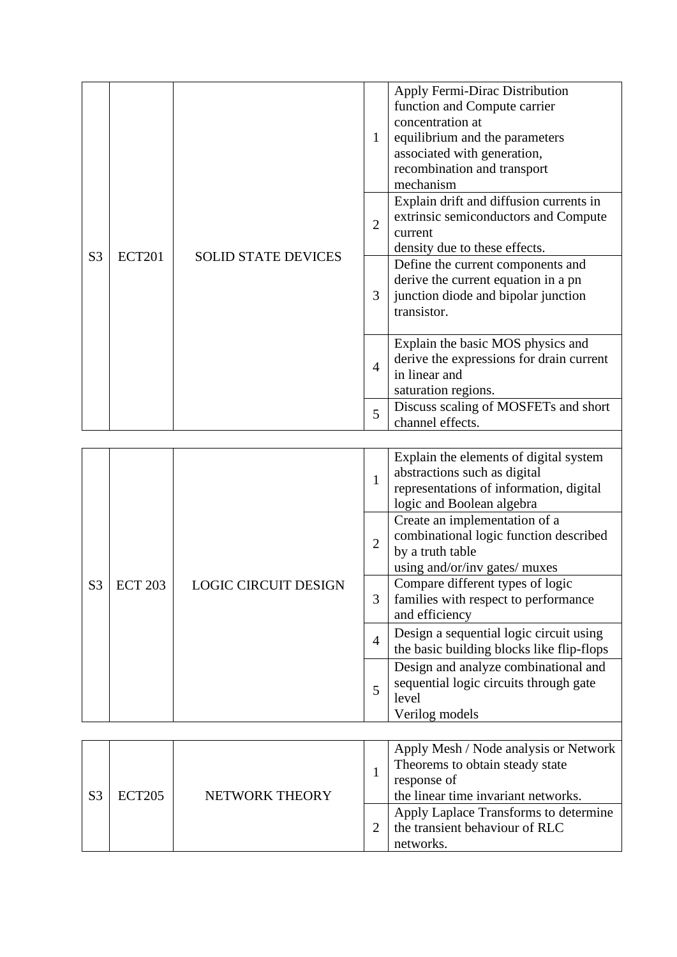|                |               |                            | $\mathbf{1}$   | Apply Fermi-Dirac Distribution<br>function and Compute carrier<br>concentration at<br>equilibrium and the parameters<br>associated with generation,<br>recombination and transport |
|----------------|---------------|----------------------------|----------------|------------------------------------------------------------------------------------------------------------------------------------------------------------------------------------|
| S <sub>3</sub> | <b>ECT201</b> | <b>SOLID STATE DEVICES</b> | $\overline{2}$ | mechanism<br>Explain drift and diffusion currents in<br>extrinsic semiconductors and Compute<br>current<br>density due to these effects.                                           |
|                |               |                            | 3              | Define the current components and<br>derive the current equation in a pn<br>junction diode and bipolar junction<br>transistor.                                                     |
|                |               |                            | $\overline{4}$ | Explain the basic MOS physics and<br>derive the expressions for drain current<br>in linear and<br>saturation regions.<br>Discuss scaling of MOSFETs and short                      |
|                |               |                            | 5              | channel effects.                                                                                                                                                                   |
|                |               |                            | $\mathbf{1}$   | Explain the elements of digital system<br>abstractions such as digital<br>representations of information, digital<br>logic and Boolean algebra                                     |

|                |                |                             |                | rogie and Boorean argebra                                                                                                    |
|----------------|----------------|-----------------------------|----------------|------------------------------------------------------------------------------------------------------------------------------|
|                |                |                             | $\overline{2}$ | Create an implementation of a<br>combinational logic function described<br>by a truth table<br>using and/or/inv gates/ muxes |
| S <sub>3</sub> | <b>ECT 203</b> | <b>LOGIC CIRCUIT DESIGN</b> | 3              | Compare different types of logic<br>families with respect to performance<br>and efficiency                                   |
|                |                |                             | $\overline{4}$ | Design a sequential logic circuit using<br>the basic building blocks like flip-flops                                         |
|                |                |                             | 5              | Design and analyze combinational and<br>sequential logic circuits through gate<br>level<br>Verilog models                    |

| <b>ECT205</b> | NETWORK THEORY | Apply Mesh / Node analysis or Network<br>Theorems to obtain steady state<br>response of<br>the linear time invariant networks. |
|---------------|----------------|--------------------------------------------------------------------------------------------------------------------------------|
|               |                | Apply Laplace Transforms to determine<br>the transient behaviour of RLC<br>networks.                                           |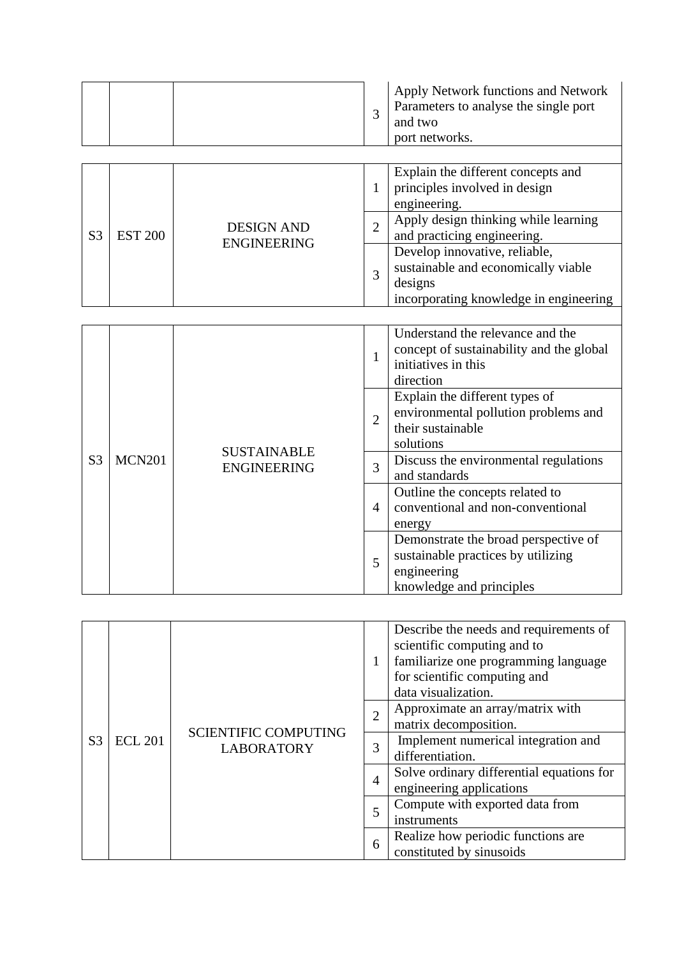|  |  | Apply Network functions and Network<br>Parameters to analyse the single port<br>and two<br>port networks. |
|--|--|-----------------------------------------------------------------------------------------------------------|
|  |  |                                                                                                           |
|  |  | Explain the different concepts and<br>principles involved in design                                       |

|                |                |                    | principles involved in design          |
|----------------|----------------|--------------------|----------------------------------------|
|                |                |                    | engineering.                           |
|                |                | <b>DESIGN AND</b>  | Apply design thinking while learning   |
| S <sub>3</sub> | <b>EST 200</b> | <b>ENGINEERING</b> | and practicing engineering.            |
|                |                |                    | Develop innovative, reliable,          |
|                |                |                    | sustainable and economically viable    |
|                |                |                    | designs                                |
|                |                |                    | incorporating knowledge in engineering |

|                |               |                                          | $\mathbf{1}$ | Understand the relevance and the<br>concept of sustainability and the global<br>initiatives in this<br>direction<br>Explain the different types of<br>environmental pollution problems and<br>$\overline{2}$<br>their sustainable<br>solutions<br>Discuss the environmental regulations<br>3<br>and standards<br>Outline the concepts related to<br>conventional and non-conventional<br>$\overline{4}$<br>energy<br>Demonstrate the broad perspective of<br>sustainable practices by utilizing |
|----------------|---------------|------------------------------------------|--------------|-------------------------------------------------------------------------------------------------------------------------------------------------------------------------------------------------------------------------------------------------------------------------------------------------------------------------------------------------------------------------------------------------------------------------------------------------------------------------------------------------|
|                |               |                                          |              |                                                                                                                                                                                                                                                                                                                                                                                                                                                                                                 |
| S <sub>3</sub> | <b>MCN201</b> | <b>SUSTAINABLE</b><br><b>ENGINEERING</b> |              |                                                                                                                                                                                                                                                                                                                                                                                                                                                                                                 |
|                |               |                                          |              |                                                                                                                                                                                                                                                                                                                                                                                                                                                                                                 |
|                |               |                                          | 5            | engineering<br>knowledge and principles                                                                                                                                                                                                                                                                                                                                                                                                                                                         |

|                |                |                                                  | 1                                                   | Describe the needs and requirements of<br>scientific computing and to<br>familiarize one programming language<br>for scientific computing and<br>data visualization.<br>Approximate an array/matrix with<br>$\overline{2}$<br>matrix decomposition.<br>Implement numerical integration and<br>3 |  |
|----------------|----------------|--------------------------------------------------|-----------------------------------------------------|-------------------------------------------------------------------------------------------------------------------------------------------------------------------------------------------------------------------------------------------------------------------------------------------------|--|
|                |                |                                                  |                                                     |                                                                                                                                                                                                                                                                                                 |  |
| S <sub>3</sub> | <b>ECL 201</b> | <b>SCIENTIFIC COMPUTING</b><br><b>LABORATORY</b> |                                                     | differentiation.<br>Solve ordinary differential equations for<br>$\overline{4}$<br>engineering applications                                                                                                                                                                                     |  |
|                |                |                                                  |                                                     |                                                                                                                                                                                                                                                                                                 |  |
|                |                |                                                  | Compute with exported data from<br>5<br>instruments |                                                                                                                                                                                                                                                                                                 |  |
|                |                |                                                  | 6                                                   | Realize how periodic functions are<br>constituted by sinusoids                                                                                                                                                                                                                                  |  |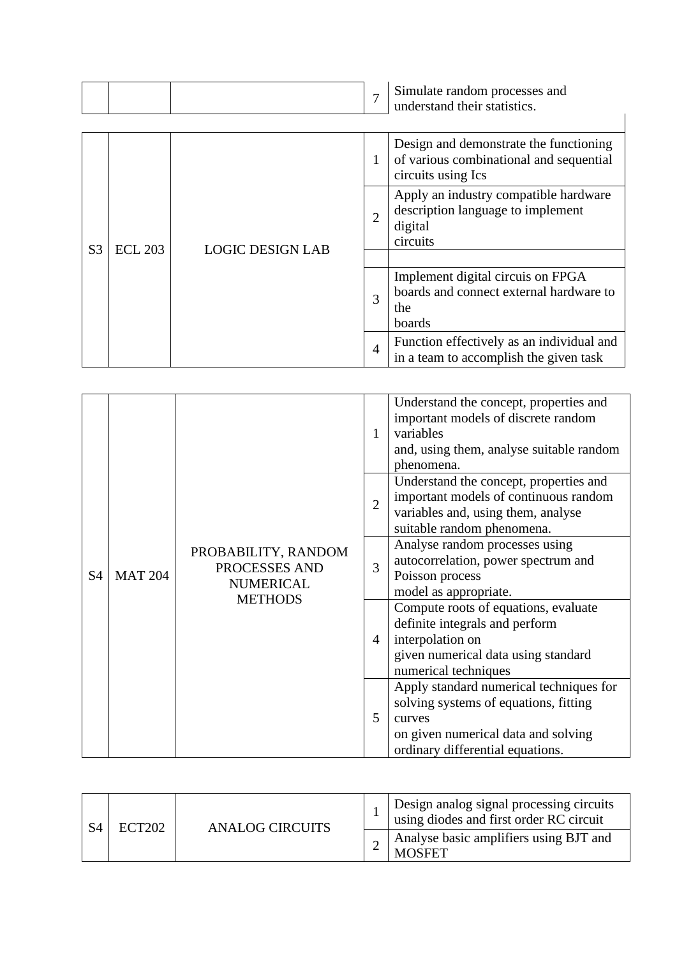|  |  | Simulate random processes and<br>understand their statistics. |
|--|--|---------------------------------------------------------------|
|  |  |                                                               |

|                |                |                         |                | Design and demonstrate the functioning                                                            |
|----------------|----------------|-------------------------|----------------|---------------------------------------------------------------------------------------------------|
|                |                |                         | 1              | of various combinational and sequential<br>circuits using Ics                                     |
| S <sub>3</sub> | <b>ECL 203</b> | <b>LOGIC DESIGN LAB</b> | $\overline{2}$ | Apply an industry compatible hardware<br>description language to implement<br>digital<br>circuits |
|                |                |                         |                |                                                                                                   |
|                |                |                         | 3              | Implement digital circuis on FPGA<br>boards and connect external hardware to<br>the<br>boards     |
|                |                |                         | $\overline{4}$ | Function effectively as an individual and<br>in a team to accomplish the given task               |

|                |                |                                                          | 1              | Understand the concept, properties and<br>important models of discrete random<br>variables<br>and, using them, analyse suitable random<br>phenomena.                  |
|----------------|----------------|----------------------------------------------------------|----------------|-----------------------------------------------------------------------------------------------------------------------------------------------------------------------|
|                |                |                                                          | $\overline{2}$ | Understand the concept, properties and<br>important models of continuous random<br>variables and, using them, analyse<br>suitable random phenomena.                   |
| S <sub>4</sub> | <b>MAT 204</b> | PROBABILITY, RANDOM<br>PROCESSES AND<br><b>NUMERICAL</b> | 3              | Analyse random processes using<br>autocorrelation, power spectrum and<br>Poisson process<br>model as appropriate.                                                     |
|                |                | <b>METHODS</b>                                           | 4              | Compute roots of equations, evaluate<br>definite integrals and perform<br>interpolation on<br>given numerical data using standard<br>numerical techniques             |
|                |                |                                                          | 5              | Apply standard numerical techniques for<br>solving systems of equations, fitting<br>curves<br>on given numerical data and solving<br>ordinary differential equations. |

| ECT <sub>202</sub> | ANALOG CIRCUITS | Design analog signal processing circuits<br>using diodes and first order RC circuit |
|--------------------|-----------------|-------------------------------------------------------------------------------------|
|                    |                 | Analyse basic amplifiers using BJT and<br><b>MOSFET</b>                             |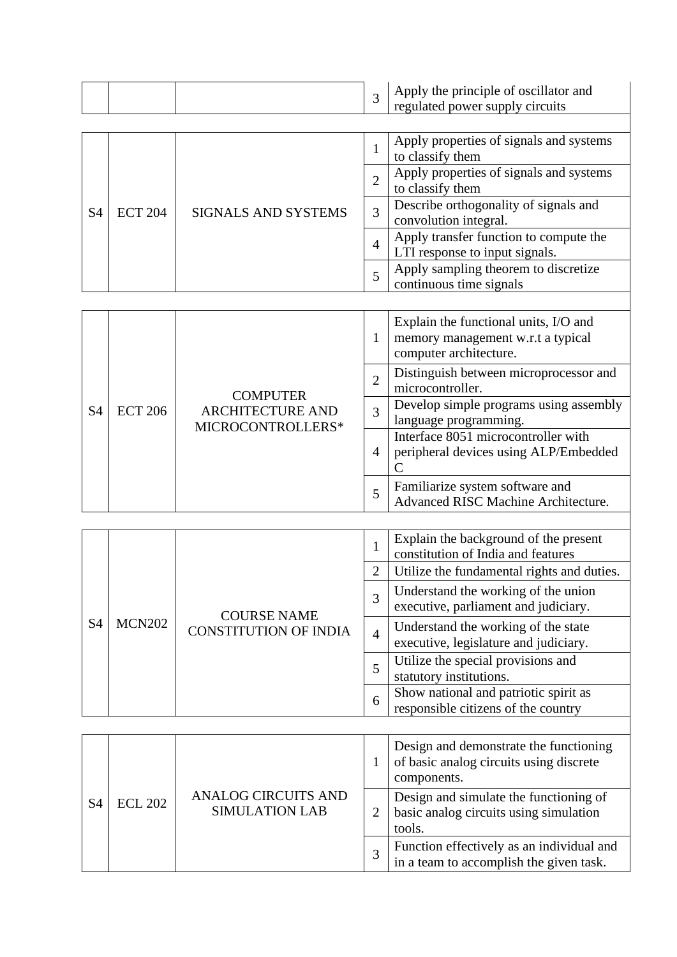|  |  |  |  | Apply the principle of oscillator and<br>regulated power supply circuits |
|--|--|--|--|--------------------------------------------------------------------------|
|--|--|--|--|--------------------------------------------------------------------------|

|    |                |                            |                | Apply properties of signals and systems<br>to classify them              |
|----|----------------|----------------------------|----------------|--------------------------------------------------------------------------|
|    |                |                            |                | Apply properties of signals and systems<br>to classify them              |
| S4 | <b>ECT 204</b> | <b>SIGNALS AND SYSTEMS</b> | 3              | Describe orthogonality of signals and<br>convolution integral.           |
|    |                |                            | $\overline{4}$ | Apply transfer function to compute the<br>LTI response to input signals. |
|    |                |                            | 5              | Apply sampling theorem to discretize<br>continuous time signals          |

|                |                |                                              | 1              | Explain the functional units, I/O and<br>memory management w.r.t a typical<br>computer architecture.                                            |
|----------------|----------------|----------------------------------------------|----------------|-------------------------------------------------------------------------------------------------------------------------------------------------|
|                |                | <b>COMPUTER</b>                              | $\overline{2}$ | Distinguish between microprocessor and<br>microcontroller.                                                                                      |
| S <sub>4</sub> | <b>ECT 206</b> | <b>ARCHITECTURE AND</b><br>MICROCONTROLLERS* | 3              | Develop simple programs using assembly<br>language programming.<br>Interface 8051 microcontroller with<br>peripheral devices using ALP/Embedded |
|                |                |                                              | $\overline{4}$ |                                                                                                                                                 |
|                |                |                                              | 5              | Familiarize system software and<br>Advanced RISC Machine Architecture.                                                                          |

|                |               |                                                    | 1                                                                                                                                                                                                                                                                                                           | Explain the background of the present<br>constitution of India and features  |
|----------------|---------------|----------------------------------------------------|-------------------------------------------------------------------------------------------------------------------------------------------------------------------------------------------------------------------------------------------------------------------------------------------------------------|------------------------------------------------------------------------------|
|                |               |                                                    | Utilize the fundamental rights and duties.<br>2<br>Understand the working of the union<br>3<br>executive, parliament and judiciary.<br>Understand the working of the state<br>$\overline{4}$<br>executive, legislature and judiciary.<br>Utilize the special provisions and<br>5<br>statutory institutions. |                                                                              |
| S <sub>4</sub> |               | <b>COURSE NAME</b><br><b>CONSTITUTION OF INDIA</b> |                                                                                                                                                                                                                                                                                                             |                                                                              |
|                | <b>MCN202</b> |                                                    |                                                                                                                                                                                                                                                                                                             |                                                                              |
|                |               |                                                    |                                                                                                                                                                                                                                                                                                             |                                                                              |
|                |               |                                                    | 6                                                                                                                                                                                                                                                                                                           | Show national and patriotic spirit as<br>responsible citizens of the country |

|    |                                                                       |                                                                                            | Design and demonstrate the functioning<br>of basic analog circuits using discrete<br>components. |  |
|----|-----------------------------------------------------------------------|--------------------------------------------------------------------------------------------|--------------------------------------------------------------------------------------------------|--|
| S4 | <b>ANALOG CIRCUITS AND</b><br><b>ECL 202</b><br><b>SIMULATION LAB</b> | Design and simulate the functioning of<br>basic analog circuits using simulation<br>tools. |                                                                                                  |  |
|    |                                                                       |                                                                                            | Function effectively as an individual and<br>in a team to accomplish the given task.             |  |